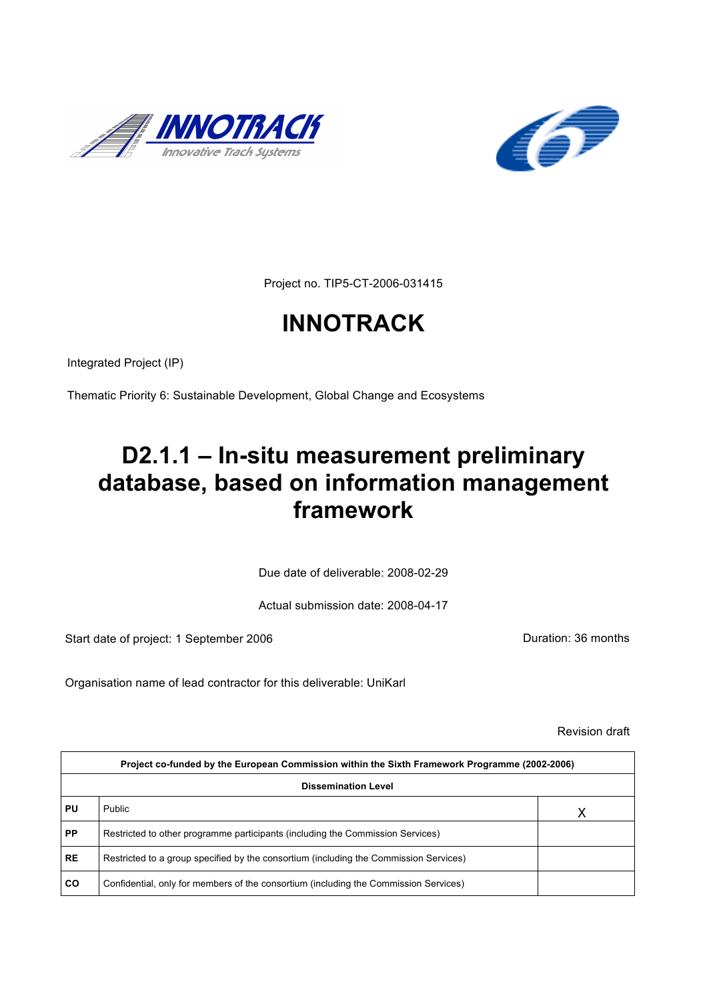



Project no. TIP5-CT-2006-031415

# **INNOTRACK**

Integrated Project (IP)

Thematic Priority 6: Sustainable Development, Global Change and Ecosystems

# **D2.1.1 – In-situ measurement preliminary database, based on information management framework**

Due date of deliverable: 2008-02-29

Actual submission date: 2008-04-17

Start date of project: 1 September 2006 **Duration: 36 months** 

Organisation name of lead contractor for this deliverable: UniKarl

Revision draft

|           | Project co-funded by the European Commission within the Sixth Framework Programme (2002-2006) |   |  |  |  |
|-----------|-----------------------------------------------------------------------------------------------|---|--|--|--|
|           | <b>Dissemination Level</b>                                                                    |   |  |  |  |
| PU        | Public                                                                                        | Χ |  |  |  |
| <b>PP</b> | Restricted to other programme participants (including the Commission Services)                |   |  |  |  |
| <b>RE</b> | Restricted to a group specified by the consortium (including the Commission Services)         |   |  |  |  |
| <b>CO</b> | Confidential, only for members of the consortium (including the Commission Services)          |   |  |  |  |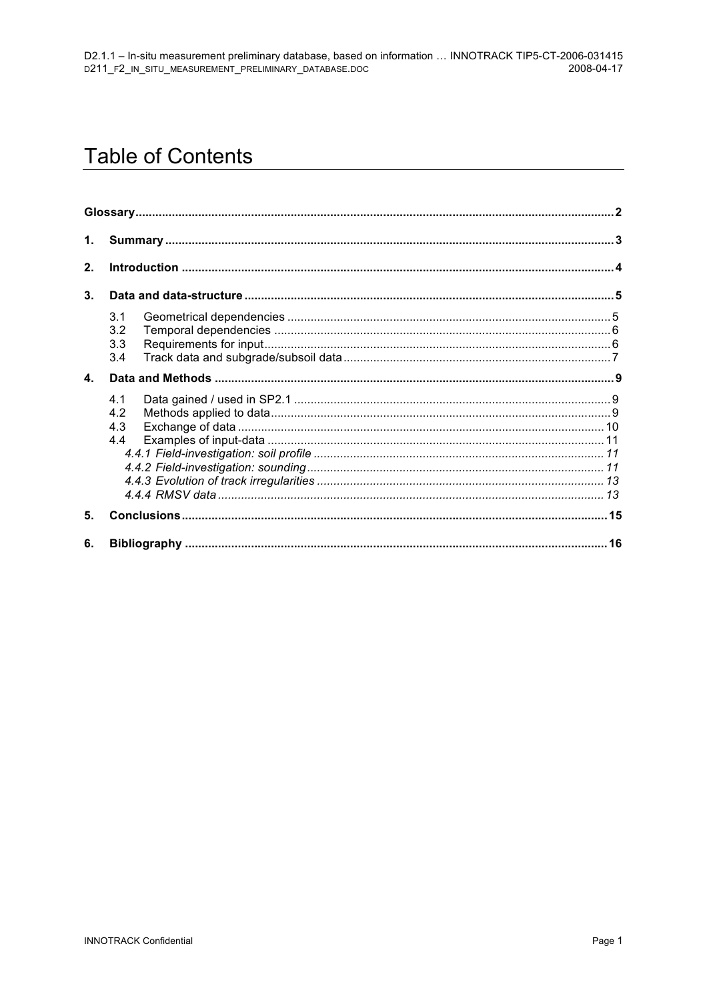# **Table of Contents**

| 1.             |                          |  |
|----------------|--------------------------|--|
| 2.             |                          |  |
| 3 <sub>1</sub> |                          |  |
|                | 3.1<br>3.2<br>3.3<br>3.4 |  |
| $\mathbf{A}$   |                          |  |
|                | 4.1<br>4.2<br>4.3<br>4.4 |  |
| 5.             |                          |  |
| 6.             |                          |  |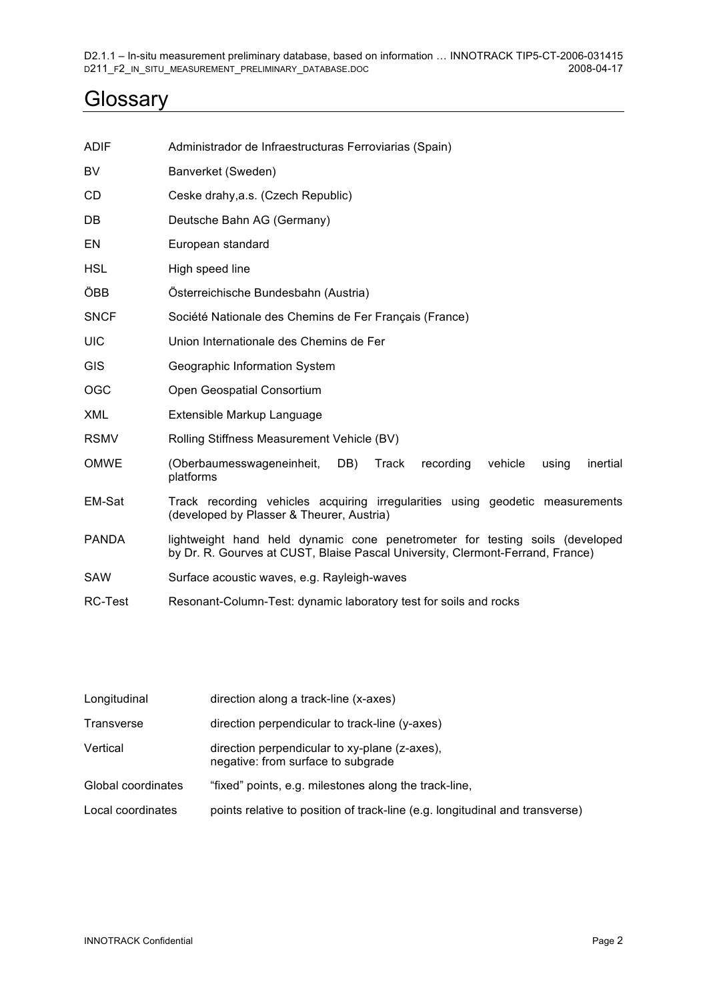## **Glossary**

| <b>ADIF</b>    | Administrador de Infraestructuras Ferroviarias (Spain)                                                                                                         |  |  |  |  |
|----------------|----------------------------------------------------------------------------------------------------------------------------------------------------------------|--|--|--|--|
| BV             | Banverket (Sweden)                                                                                                                                             |  |  |  |  |
| CD             | Ceske drahy, a.s. (Czech Republic)                                                                                                                             |  |  |  |  |
| DB             | Deutsche Bahn AG (Germany)                                                                                                                                     |  |  |  |  |
| EN             | European standard                                                                                                                                              |  |  |  |  |
| <b>HSL</b>     | High speed line                                                                                                                                                |  |  |  |  |
| ÖBB            | Österreichische Bundesbahn (Austria)                                                                                                                           |  |  |  |  |
| <b>SNCF</b>    | Société Nationale des Chemins de Fer Français (France)                                                                                                         |  |  |  |  |
| <b>UIC</b>     | Union Internationale des Chemins de Fer                                                                                                                        |  |  |  |  |
| <b>GIS</b>     | Geographic Information System                                                                                                                                  |  |  |  |  |
| <b>OGC</b>     | Open Geospatial Consortium                                                                                                                                     |  |  |  |  |
| <b>XML</b>     | Extensible Markup Language                                                                                                                                     |  |  |  |  |
| <b>RSMV</b>    | Rolling Stiffness Measurement Vehicle (BV)                                                                                                                     |  |  |  |  |
| <b>OMWE</b>    | (Oberbaumesswageneinheit,<br>DB)<br>Track<br>recording<br>vehicle<br>using<br>inertial<br>platforms                                                            |  |  |  |  |
| EM-Sat         | Track recording vehicles acquiring irregularities using geodetic measurements<br>(developed by Plasser & Theurer, Austria)                                     |  |  |  |  |
| <b>PANDA</b>   | lightweight hand held dynamic cone penetrometer for testing soils (developed<br>by Dr. R. Gourves at CUST, Blaise Pascal University, Clermont-Ferrand, France) |  |  |  |  |
| SAW            | Surface acoustic waves, e.g. Rayleigh-waves                                                                                                                    |  |  |  |  |
| <b>RC-Test</b> | Resonant-Column-Test: dynamic laboratory test for soils and rocks                                                                                              |  |  |  |  |

| Longitudinal       | direction along a track-line (x-axes)                                               |
|--------------------|-------------------------------------------------------------------------------------|
| Transverse         | direction perpendicular to track-line (y-axes)                                      |
| Vertical           | direction perpendicular to xy-plane (z-axes),<br>negative: from surface to subgrade |
| Global coordinates | "fixed" points, e.g. milestones along the track-line,                               |
| Local coordinates  | points relative to position of track-line (e.g. longitudinal and transverse)        |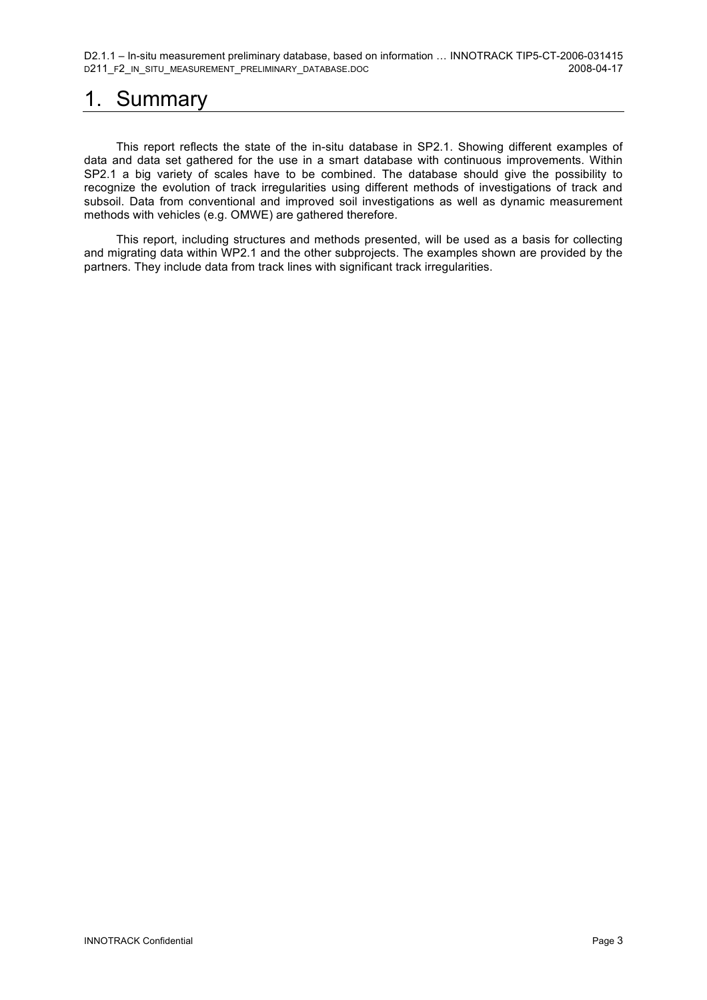## 1. Summary

This report reflects the state of the in-situ database in SP2.1. Showing different examples of data and data set gathered for the use in a smart database with continuous improvements. Within SP2.1 a big variety of scales have to be combined. The database should give the possibility to recognize the evolution of track irregularities using different methods of investigations of track and subsoil. Data from conventional and improved soil investigations as well as dynamic measurement methods with vehicles (e.g. OMWE) are gathered therefore.

This report, including structures and methods presented, will be used as a basis for collecting and migrating data within WP2.1 and the other subprojects. The examples shown are provided by the partners. They include data from track lines with significant track irregularities.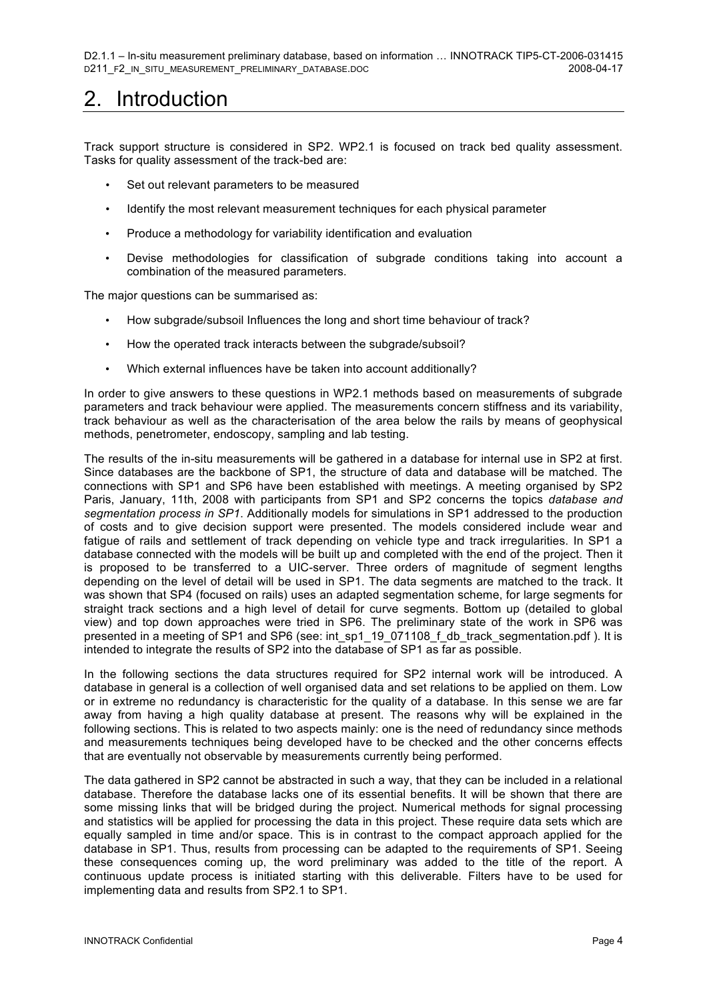## 2. Introduction

Track support structure is considered in SP2. WP2.1 is focused on track bed quality assessment. Tasks for quality assessment of the track-bed are:

- Set out relevant parameters to be measured
- Identify the most relevant measurement techniques for each physical parameter
- Produce a methodology for variability identification and evaluation
- Devise methodologies for classification of subgrade conditions taking into account a combination of the measured parameters.

The major questions can be summarised as:

- How subgrade/subsoil Influences the long and short time behaviour of track?
- How the operated track interacts between the subgrade/subsoil?
- Which external influences have be taken into account additionally?

In order to give answers to these questions in WP2.1 methods based on measurements of subgrade parameters and track behaviour were applied. The measurements concern stiffness and its variability, track behaviour as well as the characterisation of the area below the rails by means of geophysical methods, penetrometer, endoscopy, sampling and lab testing.

The results of the in-situ measurements will be gathered in a database for internal use in SP2 at first. Since databases are the backbone of SP1, the structure of data and database will be matched. The connections with SP1 and SP6 have been established with meetings. A meeting organised by SP2 Paris, January, 11th, 2008 with participants from SP1 and SP2 concerns the topics *database and segmentation process in SP1*. Additionally models for simulations in SP1 addressed to the production of costs and to give decision support were presented. The models considered include wear and fatigue of rails and settlement of track depending on vehicle type and track irregularities. In SP1 a database connected with the models will be built up and completed with the end of the project. Then it is proposed to be transferred to a UIC-server. Three orders of magnitude of segment lengths depending on the level of detail will be used in SP1. The data segments are matched to the track. It was shown that SP4 (focused on rails) uses an adapted segmentation scheme, for large segments for straight track sections and a high level of detail for curve segments. Bottom up (detailed to global view) and top down approaches were tried in SP6. The preliminary state of the work in SP6 was presented in a meeting of SP1 and SP6 (see: int\_sp1\_19\_071108\_f\_db\_track\_segmentation.pdf). It is intended to integrate the results of SP2 into the database of SP1 as far as possible.

In the following sections the data structures required for SP2 internal work will be introduced. A database in general is a collection of well organised data and set relations to be applied on them. Low or in extreme no redundancy is characteristic for the quality of a database. In this sense we are far away from having a high quality database at present. The reasons why will be explained in the following sections. This is related to two aspects mainly: one is the need of redundancy since methods and measurements techniques being developed have to be checked and the other concerns effects that are eventually not observable by measurements currently being performed.

The data gathered in SP2 cannot be abstracted in such a way, that they can be included in a relational database. Therefore the database lacks one of its essential benefits. It will be shown that there are some missing links that will be bridged during the project. Numerical methods for signal processing and statistics will be applied for processing the data in this project. These require data sets which are equally sampled in time and/or space. This is in contrast to the compact approach applied for the database in SP1. Thus, results from processing can be adapted to the requirements of SP1. Seeing these consequences coming up, the word preliminary was added to the title of the report. A continuous update process is initiated starting with this deliverable. Filters have to be used for implementing data and results from SP2.1 to SP1.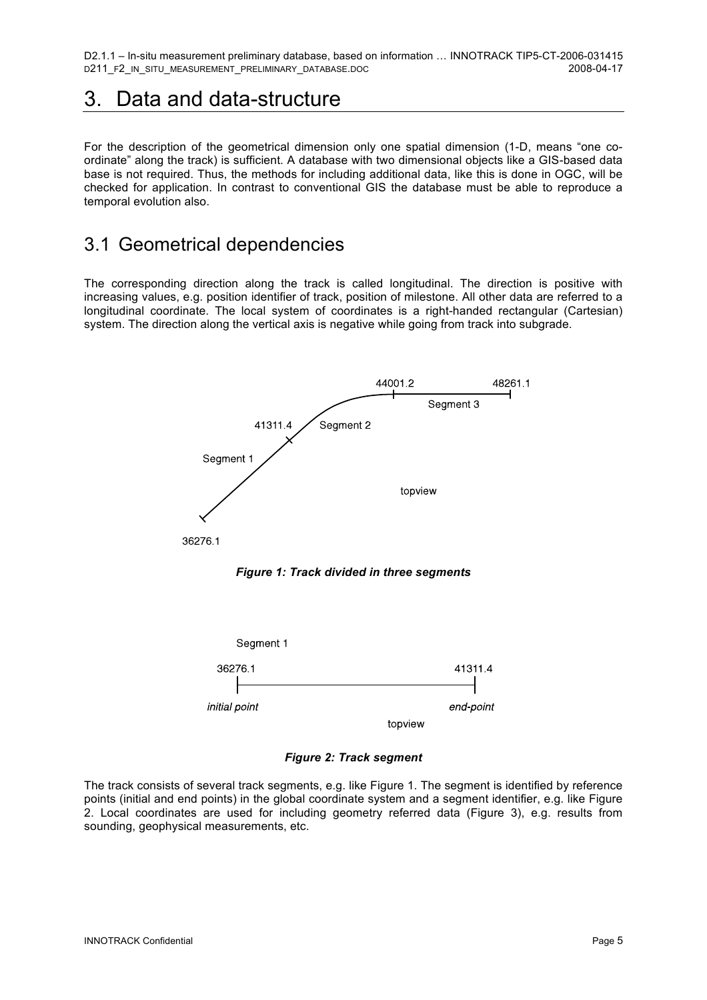## 3. Data and data-structure

For the description of the geometrical dimension only one spatial dimension (1-D, means "one coordinate" along the track) is sufficient. A database with two dimensional objects like a GIS-based data base is not required. Thus, the methods for including additional data, like this is done in OGC, will be checked for application. In contrast to conventional GIS the database must be able to reproduce a temporal evolution also.

#### 3.1 Geometrical dependencies

The corresponding direction along the track is called longitudinal. The direction is positive with increasing values, e.g. position identifier of track, position of milestone. All other data are referred to a longitudinal coordinate. The local system of coordinates is a right-handed rectangular (Cartesian) system. The direction along the vertical axis is negative while going from track into subgrade.



*Figure 2: Track segment*

The track consists of several track segments, e.g. like Figure 1. The segment is identified by reference points (initial and end points) in the global coordinate system and a segment identifier, e.g. like Figure 2. Local coordinates are used for including geometry referred data (Figure 3), e.g. results from sounding, geophysical measurements, etc.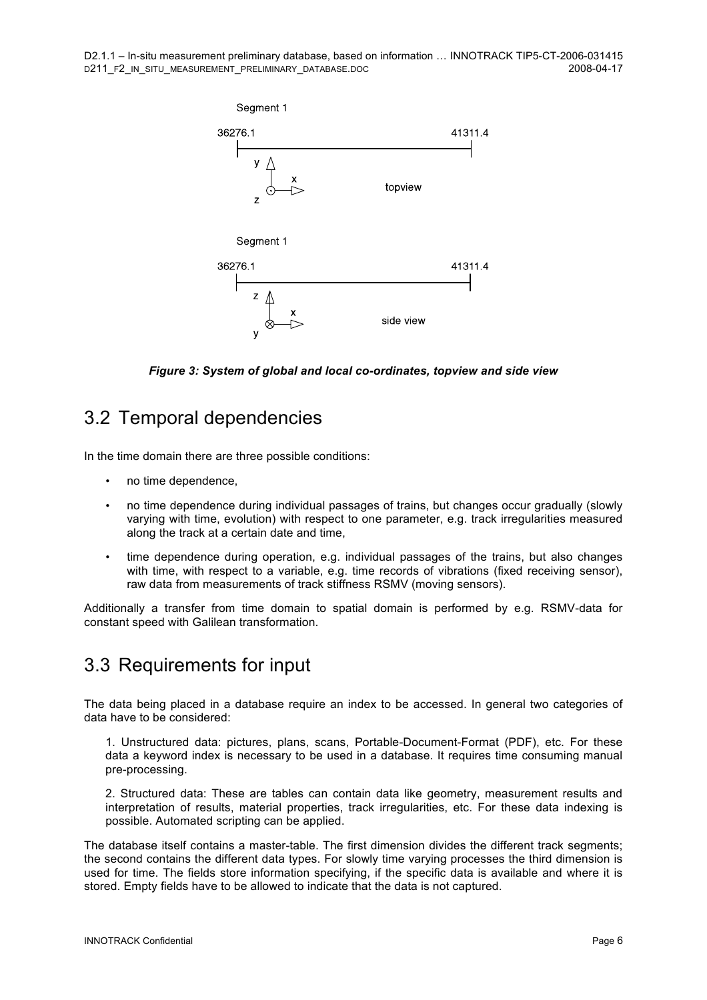

*Figure 3: System of global and local co-ordinates, topview and side view*

#### 3.2 Temporal dependencies

In the time domain there are three possible conditions:

- no time dependence,
- no time dependence during individual passages of trains, but changes occur gradually (slowly varying with time, evolution) with respect to one parameter, e.g. track irregularities measured along the track at a certain date and time,
- time dependence during operation, e.g. individual passages of the trains, but also changes with time, with respect to a variable, e.g. time records of vibrations (fixed receiving sensor), raw data from measurements of track stiffness RSMV (moving sensors).

Additionally a transfer from time domain to spatial domain is performed by e.g. RSMV-data for constant speed with Galilean transformation.

#### 3.3 Requirements for input

The data being placed in a database require an index to be accessed. In general two categories of data have to be considered:

1. Unstructured data: pictures, plans, scans, Portable-Document-Format (PDF), etc. For these data a keyword index is necessary to be used in a database. It requires time consuming manual pre-processing.

2. Structured data: These are tables can contain data like geometry, measurement results and interpretation of results, material properties, track irregularities, etc. For these data indexing is possible. Automated scripting can be applied.

The database itself contains a master-table. The first dimension divides the different track segments; the second contains the different data types. For slowly time varying processes the third dimension is used for time. The fields store information specifying, if the specific data is available and where it is stored. Empty fields have to be allowed to indicate that the data is not captured.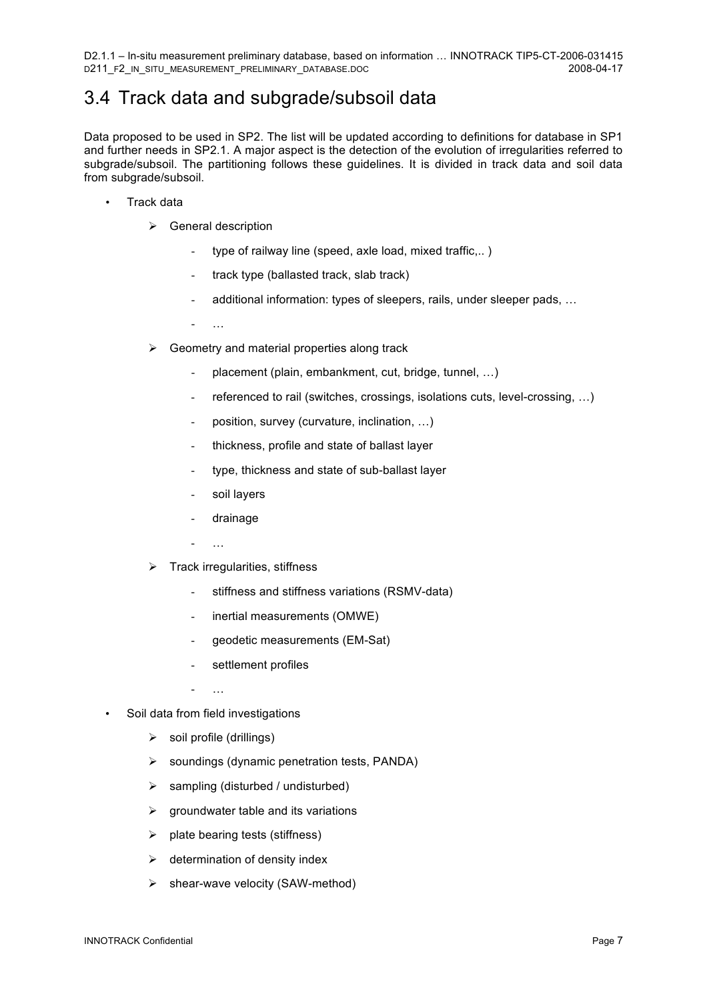## 3.4 Track data and subgrade/subsoil data

Data proposed to be used in SP2. The list will be updated according to definitions for database in SP1 and further needs in SP2.1. A major aspect is the detection of the evolution of irregularities referred to subgrade/subsoil. The partitioning follows these guidelines. It is divided in track data and soil data from subgrade/subsoil.

- Track data
	- $\triangleright$  General description
		- type of railway line (speed, axle load, mixed traffic,..)
		- track type (ballasted track, slab track)
		- additional information: types of sleepers, rails, under sleeper pads, …
		- …
	- $\triangleright$  Geometry and material properties along track
		- placement (plain, embankment, cut, bridge, tunnel, ...)
		- referenced to rail (switches, crossings, isolations cuts, level-crossing, ...)
		- position, survey (curvature, inclination, …)
		- thickness, profile and state of ballast layer
		- type, thickness and state of sub-ballast layer
		- soil layers
		- drainage
		- …
	- $\triangleright$  Track irregularities, stiffness
		- stiffness and stiffness variations (RSMV-data)
		- inertial measurements (OMWE)
		- geodetic measurements (EM-Sat)
		- settlement profiles
		- …
- Soil data from field investigations
	- $\triangleright$  soil profile (drillings)
	- $\triangleright$  soundings (dynamic penetration tests, PANDA)
	- $\triangleright$  sampling (disturbed / undisturbed)
	- $\triangleright$  groundwater table and its variations
	- $\triangleright$  plate bearing tests (stiffness)
	- $\triangleright$  determination of density index
	- $\triangleright$  shear-wave velocity (SAW-method)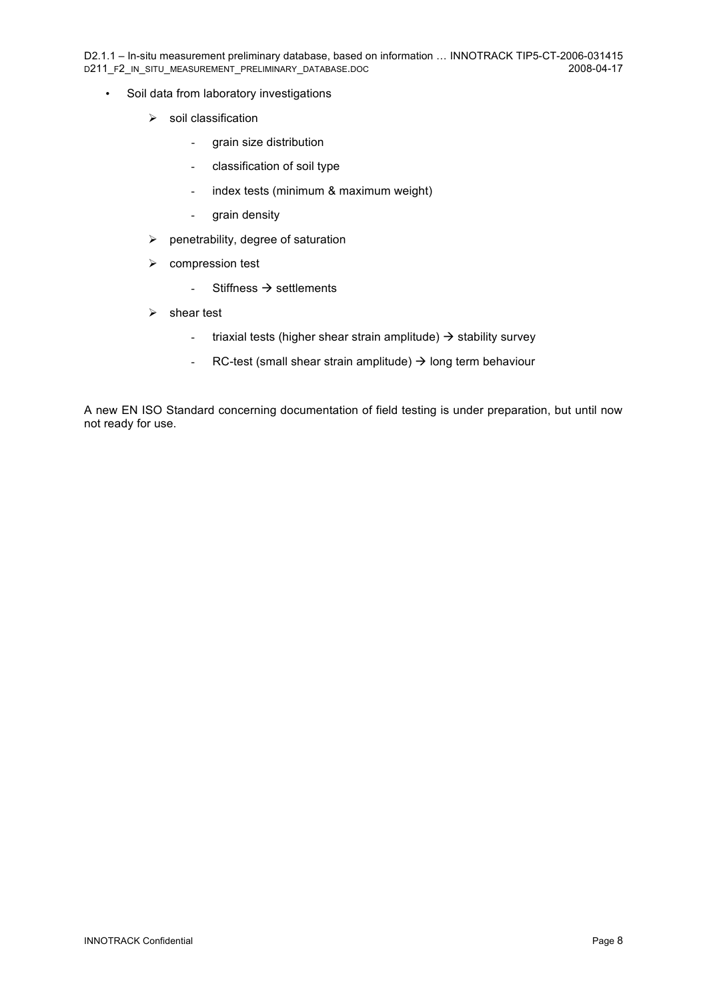D2.1.1 – In-situ measurement preliminary database, based on information ... INNOTRACK TIP5-CT-2006-031415<br>D211 F2 IN SITU MEASUREMENT PRELIMINARY DATABASE.DOC D211\_F2\_IN\_SITU\_MEASUREMENT\_PRELIMINARY\_DATABASE.DOC

- Soil data from laboratory investigations
	- $\triangleright$  soil classification
		- grain size distribution
		- classification of soil type
		- index tests (minimum & maximum weight)
		- grain density
	- $\blacktriangleright$  penetrability, degree of saturation
	- $\triangleright$  compression test
		- Stiffness  $\rightarrow$  settlements
	- $\triangleright$  shear test
		- triaxial tests (higher shear strain amplitude)  $\rightarrow$  stability survey
		- RC-test (small shear strain amplitude)  $\rightarrow$  long term behaviour

A new EN ISO Standard concerning documentation of field testing is under preparation, but until now not ready for use.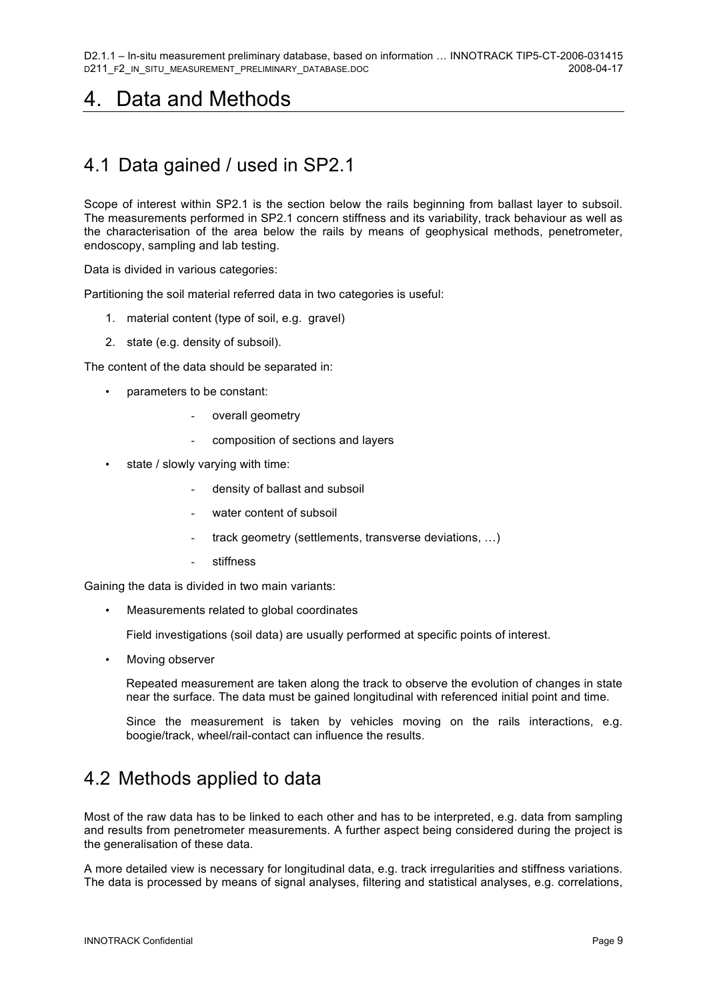## 4. Data and Methods

## 4.1 Data gained / used in SP2.1

Scope of interest within SP2.1 is the section below the rails beginning from ballast layer to subsoil. The measurements performed in SP2.1 concern stiffness and its variability, track behaviour as well as the characterisation of the area below the rails by means of geophysical methods, penetrometer, endoscopy, sampling and lab testing.

Data is divided in various categories:

Partitioning the soil material referred data in two categories is useful:

- 1. material content (type of soil, e.g. gravel)
- 2. state (e.g. density of subsoil).

The content of the data should be separated in:

- parameters to be constant:
	- overall geometry
	- composition of sections and layers
- state / slowly varying with time:
	- density of ballast and subsoil
	- water content of subsoil
	- track geometry (settlements, transverse deviations, ...)
	- stiffness

Gaining the data is divided in two main variants:

• Measurements related to global coordinates

Field investigations (soil data) are usually performed at specific points of interest.

• Moving observer

Repeated measurement are taken along the track to observe the evolution of changes in state near the surface. The data must be gained longitudinal with referenced initial point and time.

Since the measurement is taken by vehicles moving on the rails interactions, e.g. boogie/track, wheel/rail-contact can influence the results.

#### 4.2 Methods applied to data

Most of the raw data has to be linked to each other and has to be interpreted, e.g. data from sampling and results from penetrometer measurements. A further aspect being considered during the project is the generalisation of these data.

A more detailed view is necessary for longitudinal data, e.g. track irregularities and stiffness variations. The data is processed by means of signal analyses, filtering and statistical analyses, e.g. correlations,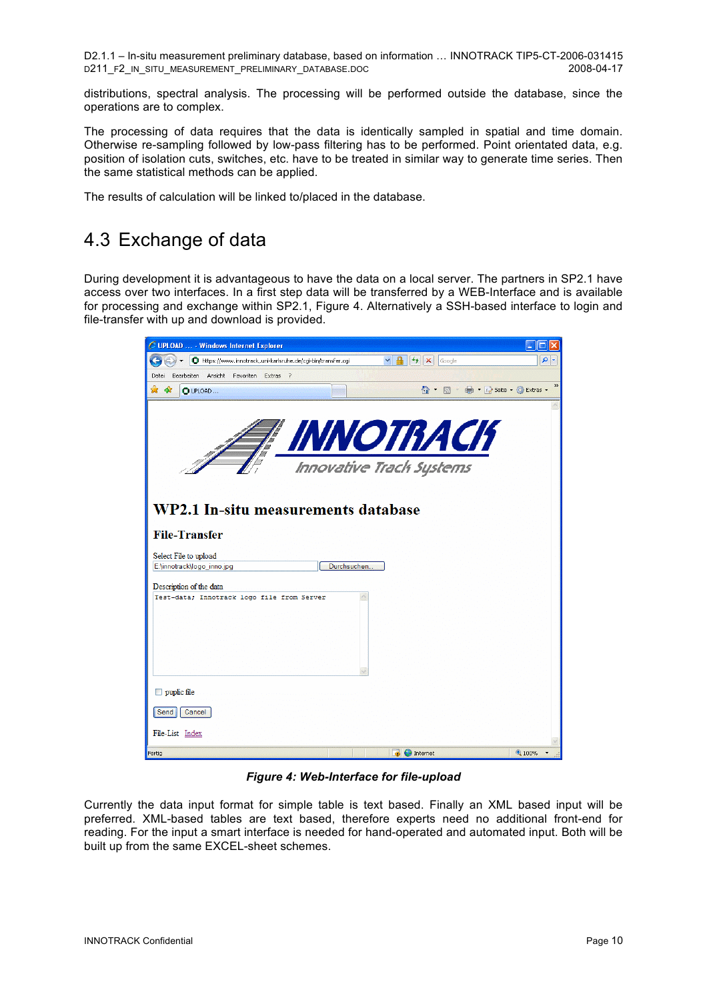distributions, spectral analysis. The processing will be performed outside the database, since the operations are to complex.

The processing of data requires that the data is identically sampled in spatial and time domain. Otherwise re-sampling followed by low-pass filtering has to be performed. Point orientated data, e.g. position of isolation cuts, switches, etc. have to be treated in similar way to generate time series. Then the same statistical methods can be applied.

The results of calculation will be linked to/placed in the database.

#### 4.3 Exchange of data

During development it is advantageous to have the data on a local server. The partners in SP2.1 have access over two interfaces. In a first step data will be transferred by a WEB-Interface and is available for processing and exchange within SP2.1, Figure 4. Alternatively a SSH-based interface to login and file-transfer with up and download is provided.

| C UPLOAD  - Windows Internet Explorer                                               |        |                            |
|-------------------------------------------------------------------------------------|--------|----------------------------|
| $4 +$<br>https://www.innotrack.uni-karlsruhe.de/cgi-bin/transfer.cgi<br>×<br>Google | ۹      |                            |
| Bearbeiten Ansicht Favoriten Extras ?<br>Datei                                      |        |                            |
| 个·同·曲·沙Seite· O Extras ·<br>✿<br>48<br>O UPLOAD                                     |        | $\boldsymbol{\mathcal{Y}}$ |
|                                                                                     |        |                            |
|                                                                                     |        |                            |
| <b>TEAN AND TRACK</b>                                                               |        |                            |
|                                                                                     |        |                            |
| <b>Innovative Track Systems</b>                                                     |        |                            |
|                                                                                     |        |                            |
|                                                                                     |        |                            |
| WP2.1 In-situ measurements database                                                 |        |                            |
|                                                                                     |        |                            |
| <b>File-Transfer</b>                                                                |        |                            |
| Select File to upload                                                               |        |                            |
| E:\innotrack\logo_inno.jpg<br>Durchsuchen                                           |        |                            |
| Description of the data                                                             |        |                            |
| Test-data; Innotrack logo file from Server                                          |        |                            |
|                                                                                     |        |                            |
|                                                                                     |        |                            |
|                                                                                     |        |                            |
|                                                                                     |        |                            |
|                                                                                     |        |                            |
| $\Box$ puplic file                                                                  |        |                            |
|                                                                                     |        |                            |
| Cancel<br>Send                                                                      |        |                            |
| File-List Index                                                                     |        |                            |
| <b>B</b> Internet<br>Fertig                                                         | € 100% |                            |
|                                                                                     |        |                            |

*Figure 4: Web-Interface for file-upload*

Currently the data input format for simple table is text based. Finally an XML based input will be preferred. XML-based tables are text based, therefore experts need no additional front-end for reading. For the input a smart interface is needed for hand-operated and automated input. Both will be built up from the same EXCEL-sheet schemes.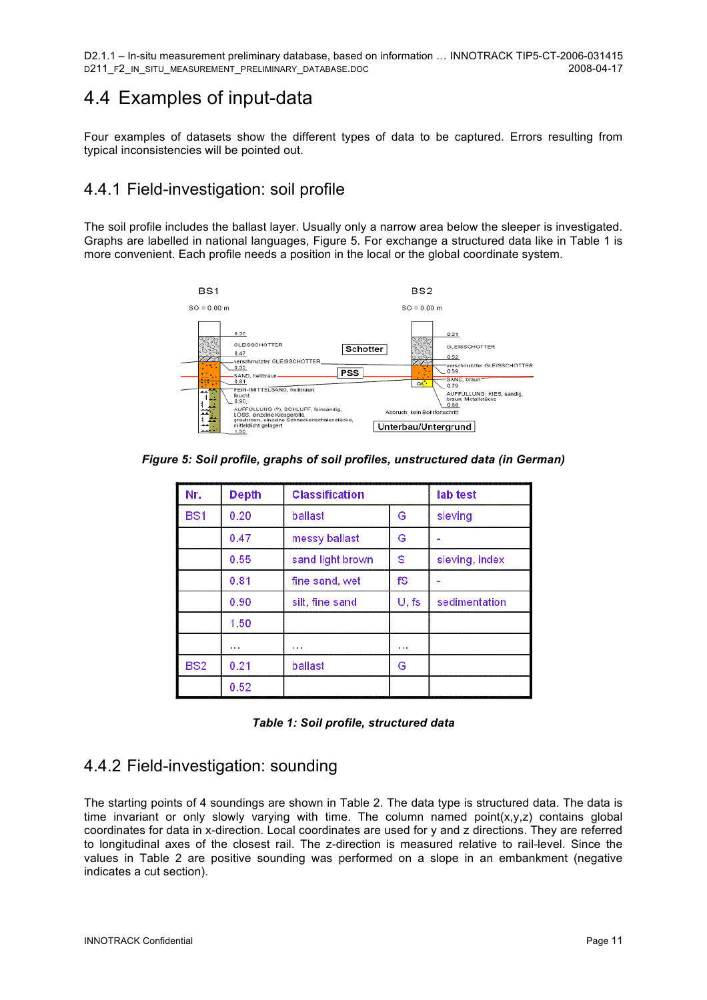#### 4.4 Examples of input-data

Four examples of datasets show the different types of data to be captured. Errors resulting from typical inconsistencies will be pointed out.

#### 4.4.1 Field-investigation: soil profile

The soil profile includes the ballast layer. Usually only a narrow area below the sleeper is investigated. Graphs are labelled in national languages, Figure 5. For exchange a structured data like in Table 1 is more convenient. Each profile needs a position in the local or the global coordinate system.



*Figure 5: Soil profile, graphs of soil profiles, unstructured data (in German)*

| Nr.             | Depth | <b>Classification</b> |       | lab test       |
|-----------------|-------|-----------------------|-------|----------------|
| BS <sub>1</sub> | 0.20  | ballast               | G     | sieving        |
|                 | 0.47  | messy ballast         | G     |                |
|                 | 0.55  | sand light brown      | S     | sieving, index |
|                 | 0.81  | fine sand, wet        | fS    |                |
|                 | 0.90  | silt, fine sand       | U, fs | sedimentation  |
|                 | 1.50  |                       |       |                |
|                 | .     | $\cdots$              | .     |                |
| BS <sub>2</sub> | 0.21  | ballast               | G     |                |
|                 | 0.52  |                       |       |                |

|  |  |  |  | Table 1: Soil profile, structured data |  |
|--|--|--|--|----------------------------------------|--|
|--|--|--|--|----------------------------------------|--|

#### 4.4.2 Field-investigation: sounding

The starting points of 4 soundings are shown in Table 2. The data type is structured data. The data is time invariant or only slowly varying with time. The column named point $(x,y,z)$  contains global coordinates for data in x-direction. Local coordinates are used for y and z directions. They are referred to longitudinal axes of the closest rail. The z-direction is measured relative to rail-level. Since the values in Table 2 are positive sounding was performed on a slope in an embankment (negative indicates a cut section).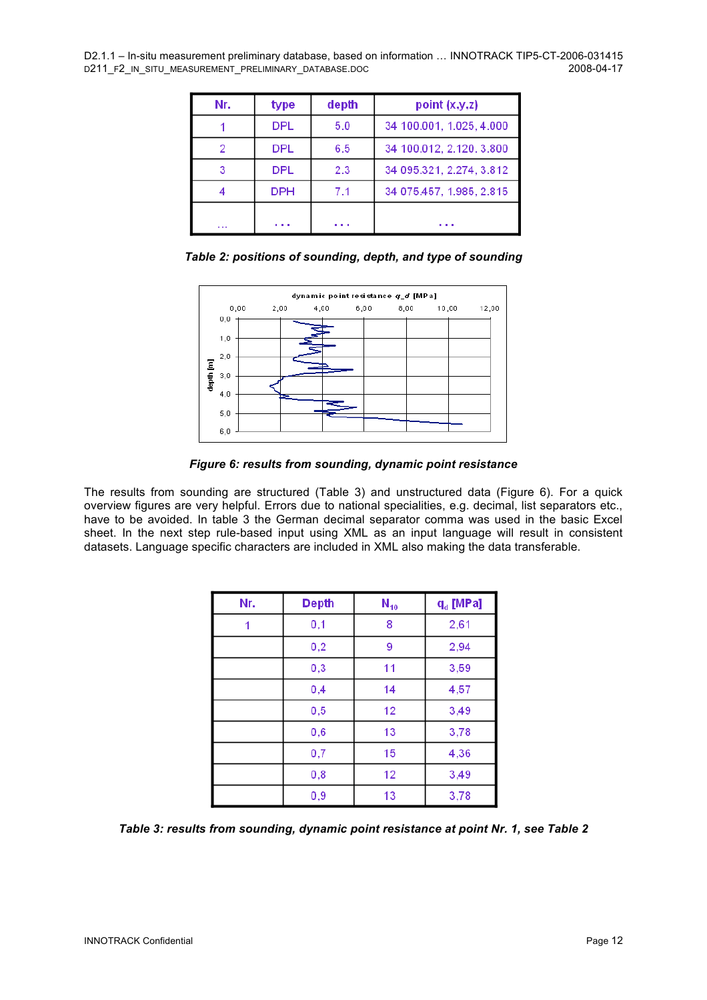| Nr. | type          | depth | point (x,y,z)            |
|-----|---------------|-------|--------------------------|
|     | <b>DPL</b>    | 5.0   | 34 100.001, 1.025, 4.000 |
| 2   | <b>DPL</b>    | 6.5   | 34 100.012, 2.120, 3.800 |
|     | <b>DPL</b>    | 2.3   | 34 095 321, 2.274, 3.812 |
|     | <b>DPH</b>    | 7.1   | 34 075.457, 1.985, 2.815 |
| .   | <b>ALC: N</b> | .     | . .                      |





*Figure 6: results from sounding, dynamic point resistance* 

The results from sounding are structured (Table 3) and unstructured data (Figure 6). For a quick overview figures are very helpful. Errors due to national specialities, e.g. decimal, list separators etc., have to be avoided. In table 3 the German decimal separator comma was used in the basic Excel sheet. In the next step rule-based input using XML as an input language will result in consistent datasets. Language specific characters are included in XML also making the data transferable.

| Nr. | <b>Depth</b> | $N_{10}$ | $q_d$ [MPa] |
|-----|--------------|----------|-------------|
|     | 0,1          | 8        | 2,61        |
|     | 0,2          | 9        | 2,94        |
|     | 0,3          | 11       | 3,59        |
|     | 0,4          | 14       | 4,57        |
|     | 0,5          | 12       | 3,49        |
|     | 0,6          | 13       | 3,78        |
|     | 0,7          | 15       | 4,36        |
|     | 0,8          | 12       | 3,49        |
|     | 0,9          | 13       | 3,78        |

*Table 3: results from sounding, dynamic point resistance at point Nr. 1, see Table 2*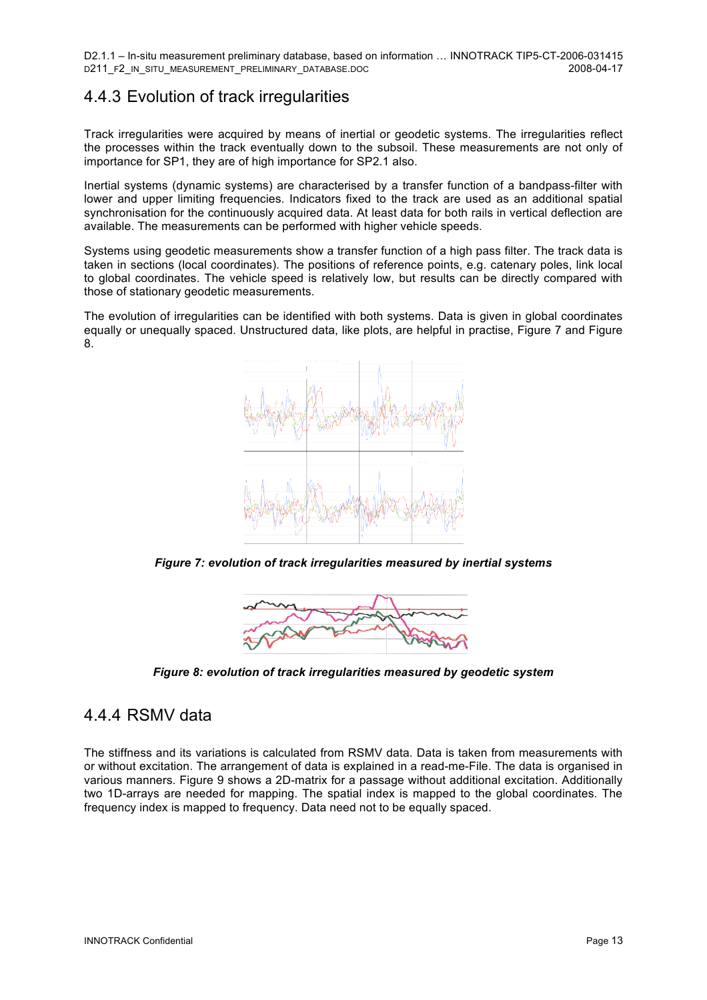#### 4.4.3 Evolution of track irregularities

Track irregularities were acquired by means of inertial or geodetic systems. The irregularities reflect the processes within the track eventually down to the subsoil. These measurements are not only of importance for SP1, they are of high importance for SP2.1 also.

Inertial systems (dynamic systems) are characterised by a transfer function of a bandpass-filter with lower and upper limiting frequencies. Indicators fixed to the track are used as an additional spatial synchronisation for the continuously acquired data. At least data for both rails in vertical deflection are available. The measurements can be performed with higher vehicle speeds.

Systems using geodetic measurements show a transfer function of a high pass filter. The track data is taken in sections (local coordinates). The positions of reference points, e.g. catenary poles, link local to global coordinates. The vehicle speed is relatively low, but results can be directly compared with those of stationary geodetic measurements.

The evolution of irregularities can be identified with both systems. Data is given in global coordinates equally or unequally spaced. Unstructured data, like plots, are helpful in practise, Figure 7 and Figure 8.



*Figure 7: evolution of track irregularities measured by inertial systems* 



*Figure 8: evolution of track irregularities measured by geodetic system* 

#### 4.4.4 RSMV data

The stiffness and its variations is calculated from RSMV data. Data is taken from measurements with or without excitation. The arrangement of data is explained in a read-me-File. The data is organised in various manners. Figure 9 shows a 2D-matrix for a passage without additional excitation. Additionally two 1D-arrays are needed for mapping. The spatial index is mapped to the global coordinates. The frequency index is mapped to frequency. Data need not to be equally spaced.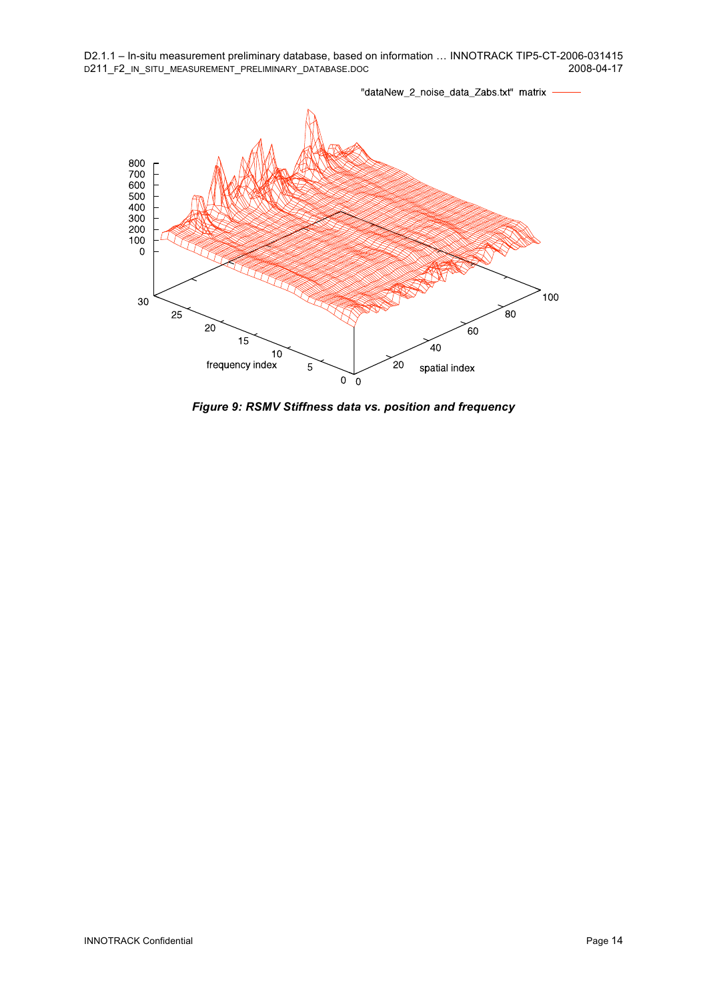"dataNew\_2\_noise\_data\_Zabs.txt" matrix - $\begin{array}{c} 800 \\ 700 \\ 600 \\ 500 \\ 400 \\ 300 \\ 200 \\ 100 \\ 0 \end{array}$ 100 30  $\sim$  $25$  $20$  $60$  $15$  $40$  $10$  $20$ frequency index 5 spatial index  $\pmb{0}$  $\tilde{0}$ 

*Figure 9: RSMV Stiffness data vs. position and frequency*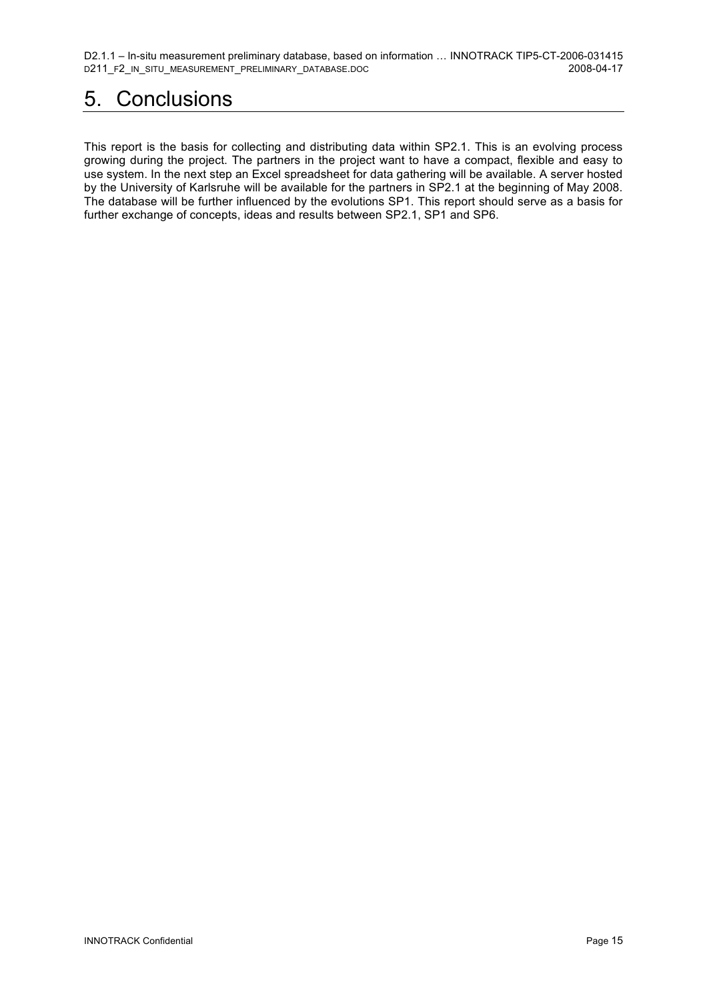D2.1.1 – In-situ measurement preliminary database, based on information ... INNOTRACK TIP5-CT-2006-031415<br>D211 F2 IN SITU MEASUREMENT PRELIMINARY DATABASE.DOC D211\_F2\_IN\_SITU\_MEASUREMENT\_PRELIMINARY\_DATABASE.DOC

## 5. Conclusions

This report is the basis for collecting and distributing data within SP2.1. This is an evolving process growing during the project. The partners in the project want to have a compact, flexible and easy to use system. In the next step an Excel spreadsheet for data gathering will be available. A server hosted by the University of Karlsruhe will be available for the partners in SP2.1 at the beginning of May 2008. The database will be further influenced by the evolutions SP1. This report should serve as a basis for further exchange of concepts, ideas and results between SP2.1, SP1 and SP6.